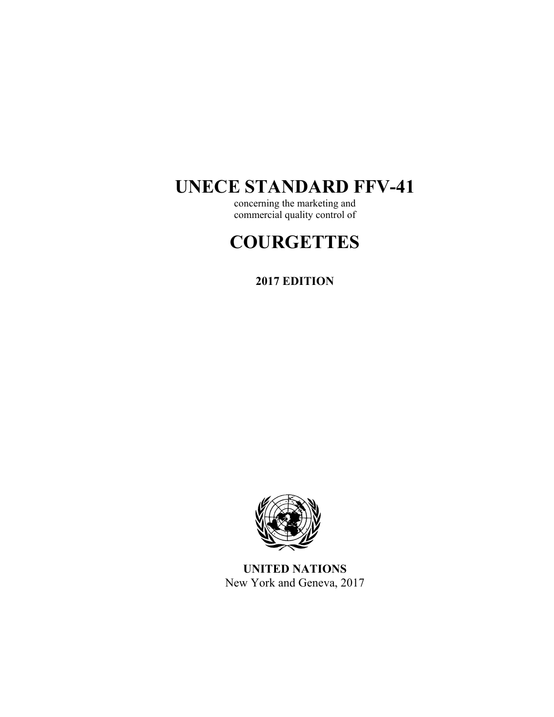# **UNECE STANDARD FFV-41**

concerning the marketing and commercial quality control of

# **COURGETTES**

**2017 EDITION** 



**UNITED NATIONS**  New York and Geneva, 2017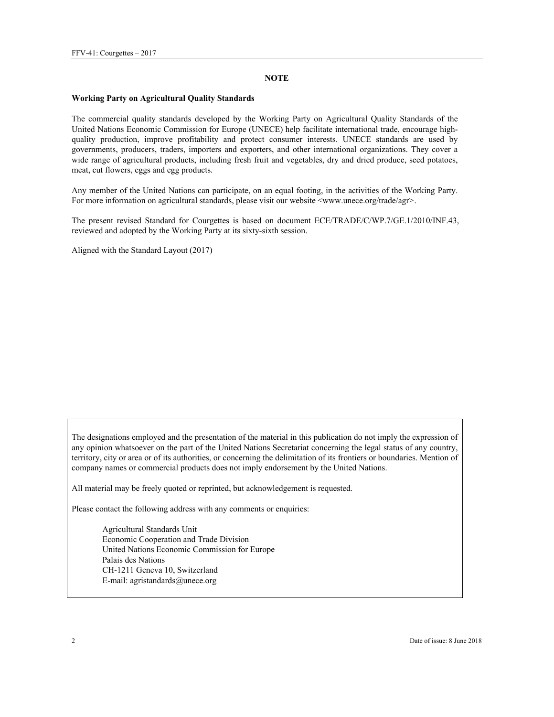#### **NOTE**

#### **Working Party on Agricultural Quality Standards**

The commercial quality standards developed by the Working Party on Agricultural Quality Standards of the United Nations Economic Commission for Europe (UNECE) help facilitate international trade, encourage highquality production, improve profitability and protect consumer interests. UNECE standards are used by governments, producers, traders, importers and exporters, and other international organizations. They cover a wide range of agricultural products, including fresh fruit and vegetables, dry and dried produce, seed potatoes, meat, cut flowers, eggs and egg products.

Any member of the United Nations can participate, on an equal footing, in the activities of the Working Party. For more information on agricultural standards, please visit our website <www.unece.org/trade/agr>.

The present revised Standard for Courgettes is based on document ECE/TRADE/C/WP.7/GE.1/2010/INF.43, reviewed and adopted by the Working Party at its sixty-sixth session.

Aligned with the Standard Layout (2017)

The designations employed and the presentation of the material in this publication do not imply the expression of any opinion whatsoever on the part of the United Nations Secretariat concerning the legal status of any country, territory, city or area or of its authorities, or concerning the delimitation of its frontiers or boundaries. Mention of company names or commercial products does not imply endorsement by the United Nations.

All material may be freely quoted or reprinted, but acknowledgement is requested.

Please contact the following address with any comments or enquiries:

Agricultural Standards Unit Economic Cooperation and Trade Division United Nations Economic Commission for Europe Palais des Nations CH-1211 Geneva 10, Switzerland E-mail: agristandards@unece.org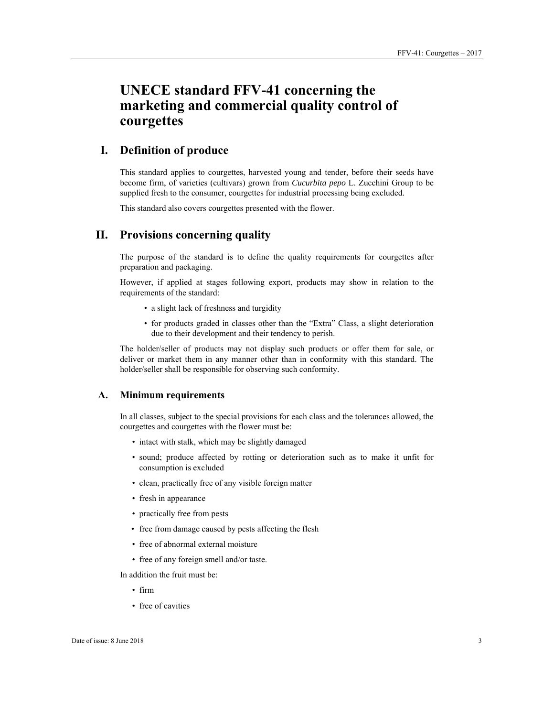# **UNECE standard FFV-41 concerning the marketing and commercial quality control of courgettes**

# **I. Definition of produce**

This standard applies to courgettes, harvested young and tender, before their seeds have become firm, of varieties (cultivars) grown from *Cucurbita pepo* L. Zucchini Group to be supplied fresh to the consumer, courgettes for industrial processing being excluded.

This standard also covers courgettes presented with the flower.

# **II. Provisions concerning quality**

The purpose of the standard is to define the quality requirements for courgettes after preparation and packaging.

However, if applied at stages following export, products may show in relation to the requirements of the standard:

- a slight lack of freshness and turgidity
- for products graded in classes other than the "Extra" Class, a slight deterioration due to their development and their tendency to perish.

The holder/seller of products may not display such products or offer them for sale, or deliver or market them in any manner other than in conformity with this standard. The holder/seller shall be responsible for observing such conformity.

## **A. Minimum requirements**

In all classes, subject to the special provisions for each class and the tolerances allowed, the courgettes and courgettes with the flower must be:

- intact with stalk, which may be slightly damaged
- sound; produce affected by rotting or deterioration such as to make it unfit for consumption is excluded
- clean, practically free of any visible foreign matter
- fresh in appearance
- practically free from pests
- free from damage caused by pests affecting the flesh
- free of abnormal external moisture
- free of any foreign smell and/or taste.

In addition the fruit must be:

- firm
- free of cavities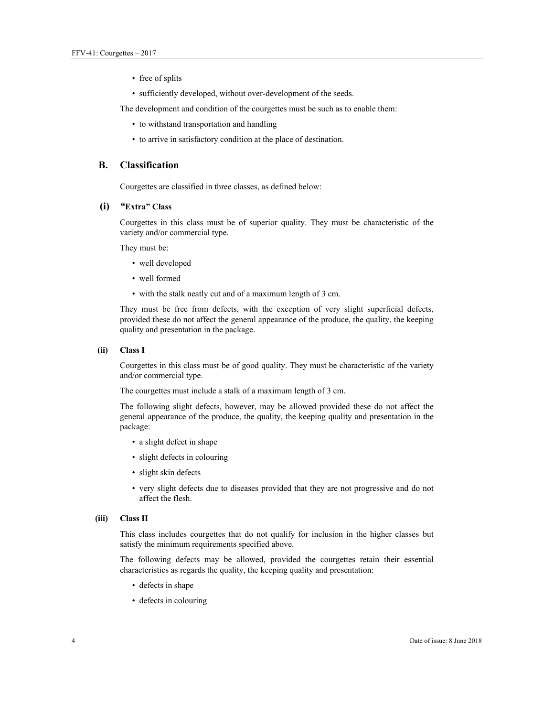- free of splits
- sufficiently developed, without over-development of the seeds.

The development and condition of the courgettes must be such as to enable them:

- to withstand transportation and handling
- to arrive in satisfactory condition at the place of destination.

#### **B. Classification**

Courgettes are classified in three classes, as defined below:

### **(i)** *"***Extra" Class**

Courgettes in this class must be of superior quality. They must be characteristic of the variety and/or commercial type.

They must be:

- well developed
- well formed
- with the stalk neatly cut and of a maximum length of 3 cm.

They must be free from defects, with the exception of very slight superficial defects, provided these do not affect the general appearance of the produce, the quality, the keeping quality and presentation in the package.

#### **(ii) Class I**

Courgettes in this class must be of good quality. They must be characteristic of the variety and/or commercial type.

The courgettes must include a stalk of a maximum length of 3 cm.

The following slight defects, however, may be allowed provided these do not affect the general appearance of the produce, the quality, the keeping quality and presentation in the package:

- a slight defect in shape
- slight defects in colouring
- slight skin defects
- very slight defects due to diseases provided that they are not progressive and do not affect the flesh.

#### **(iii) Class II**

This class includes courgettes that do not qualify for inclusion in the higher classes but satisfy the minimum requirements specified above.

The following defects may be allowed, provided the courgettes retain their essential characteristics as regards the quality, the keeping quality and presentation:

- defects in shape
- defects in colouring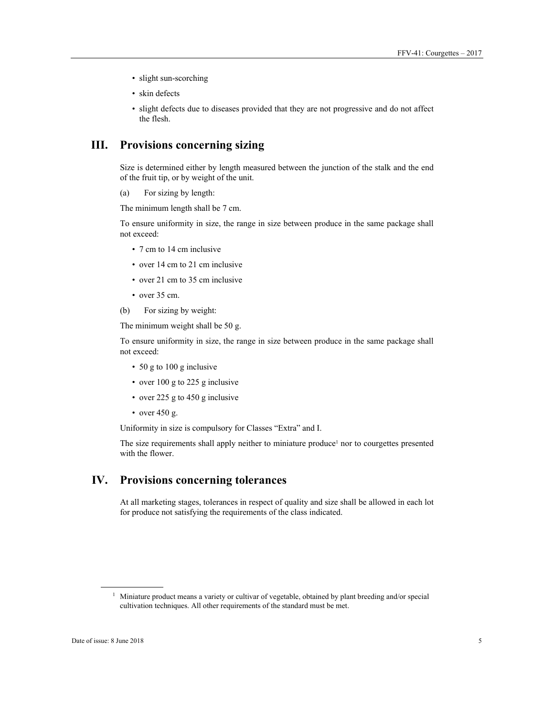- slight sun-scorching
- skin defects
- slight defects due to diseases provided that they are not progressive and do not affect the flesh.

# **III. Provisions concerning sizing**

Size is determined either by length measured between the junction of the stalk and the end of the fruit tip, or by weight of the unit.

(a) For sizing by length:

The minimum length shall be 7 cm.

To ensure uniformity in size, the range in size between produce in the same package shall not exceed:

- 7 cm to 14 cm inclusive
- over 14 cm to 21 cm inclusive
- over 21 cm to 35 cm inclusive
- over 35 cm.
- (b) For sizing by weight:

The minimum weight shall be 50 g.

To ensure uniformity in size, the range in size between produce in the same package shall not exceed:

- 50 g to 100 g inclusive
- over 100 g to 225 g inclusive
- over 225 g to 450 g inclusive
- over 450 g.

Uniformity in size is compulsory for Classes "Extra" and I.

The size requirements shall apply neither to miniature produce<sup>1</sup> nor to courgettes presented with the flower.

# **IV. Provisions concerning tolerances**

At all marketing stages, tolerances in respect of quality and size shall be allowed in each lot for produce not satisfying the requirements of the class indicated.

 $\overline{a}$ 

<sup>&</sup>lt;sup>1</sup> Miniature product means a variety or cultivar of vegetable, obtained by plant breeding and/or special cultivation techniques. All other requirements of the standard must be met.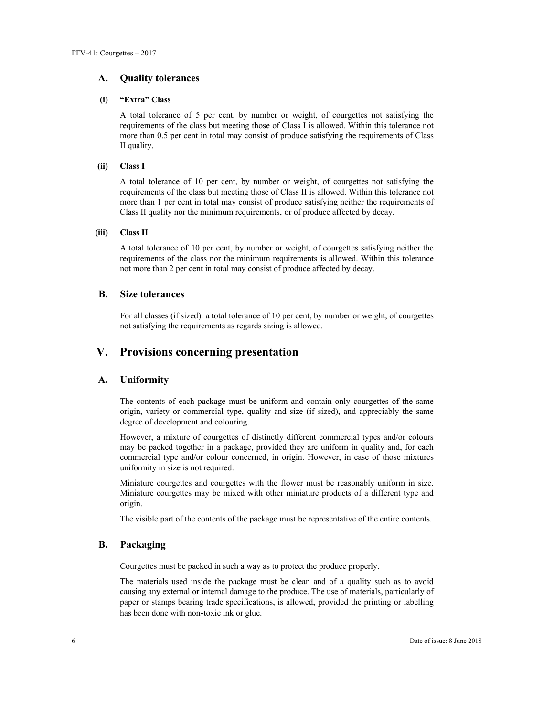## **A. Quality tolerances**

#### **(i) "Extra" Class**

A total tolerance of 5 per cent, by number or weight, of courgettes not satisfying the requirements of the class but meeting those of Class I is allowed. Within this tolerance not more than 0.5 per cent in total may consist of produce satisfying the requirements of Class II quality.

#### **(ii) Class I**

A total tolerance of 10 per cent, by number or weight, of courgettes not satisfying the requirements of the class but meeting those of Class II is allowed. Within this tolerance not more than 1 per cent in total may consist of produce satisfying neither the requirements of Class II quality nor the minimum requirements, or of produce affected by decay.

#### **(iii) Class II**

A total tolerance of 10 per cent, by number or weight, of courgettes satisfying neither the requirements of the class nor the minimum requirements is allowed. Within this tolerance not more than 2 per cent in total may consist of produce affected by decay.

## **B. Size tolerances**

For all classes (if sized): a total tolerance of 10 per cent, by number or weight, of courgettes not satisfying the requirements as regards sizing is allowed.

# **V. Provisions concerning presentation**

## **A. Uniformity**

The contents of each package must be uniform and contain only courgettes of the same origin, variety or commercial type, quality and size (if sized), and appreciably the same degree of development and colouring.

However, a mixture of courgettes of distinctly different commercial types and/or colours may be packed together in a package, provided they are uniform in quality and, for each commercial type and/or colour concerned, in origin. However, in case of those mixtures uniformity in size is not required.

Miniature courgettes and courgettes with the flower must be reasonably uniform in size. Miniature courgettes may be mixed with other miniature products of a different type and origin.

The visible part of the contents of the package must be representative of the entire contents.

## **B. Packaging**

Courgettes must be packed in such a way as to protect the produce properly.

The materials used inside the package must be clean and of a quality such as to avoid causing any external or internal damage to the produce. The use of materials, particularly of paper or stamps bearing trade specifications, is allowed, provided the printing or labelling has been done with non-toxic ink or glue.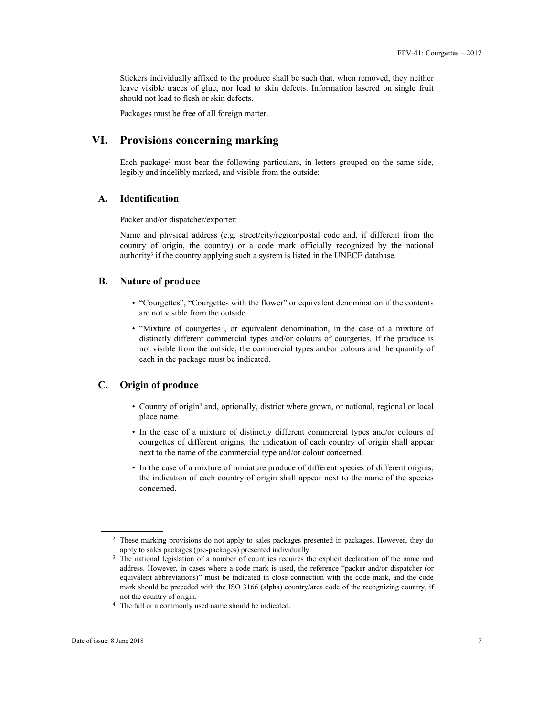Stickers individually affixed to the produce shall be such that, when removed, they neither leave visible traces of glue, nor lead to skin defects. Information lasered on single fruit should not lead to flesh or skin defects.

Packages must be free of all foreign matter.

# **VI. Provisions concerning marking**

Each package<sup>2</sup> must bear the following particulars, in letters grouped on the same side, legibly and indelibly marked, and visible from the outside:

## **A. Identification**

Packer and/or dispatcher/exporter:

Name and physical address (e.g. street/city/region/postal code and, if different from the country of origin, the country) or a code mark officially recognized by the national authority<sup>3</sup> if the country applying such a system is listed in the UNECE database.

## **B. Nature of produce**

- "Courgettes", "Courgettes with the flower" or equivalent denomination if the contents are not visible from the outside.
- "Mixture of courgettes", or equivalent denomination, in the case of a mixture of distinctly different commercial types and/or colours of courgettes. If the produce is not visible from the outside, the commercial types and/or colours and the quantity of each in the package must be indicated.

## **C. Origin of produce**

- Country of origin<sup>4</sup> and, optionally, district where grown, or national, regional or local place name.
- In the case of a mixture of distinctly different commercial types and/or colours of courgettes of different origins, the indication of each country of origin shall appear next to the name of the commercial type and/or colour concerned.
- In the case of a mixture of miniature produce of different species of different origins, the indication of each country of origin shall appear next to the name of the species concerned.

 $\overline{a}$ 

<sup>2</sup> These marking provisions do not apply to sales packages presented in packages. However, they do apply to sales packages (pre-packages) presented individually.<br><sup>3</sup> The national legislation of a number of countries requires the explicit declaration of the name and

address. However, in cases where a code mark is used, the reference "packer and/or dispatcher (or equivalent abbreviations)" must be indicated in close connection with the code mark, and the code mark should be preceded with the ISO 3166 (alpha) country/area code of the recognizing country, if not the country of origin. 4 The full or a commonly used name should be indicated.